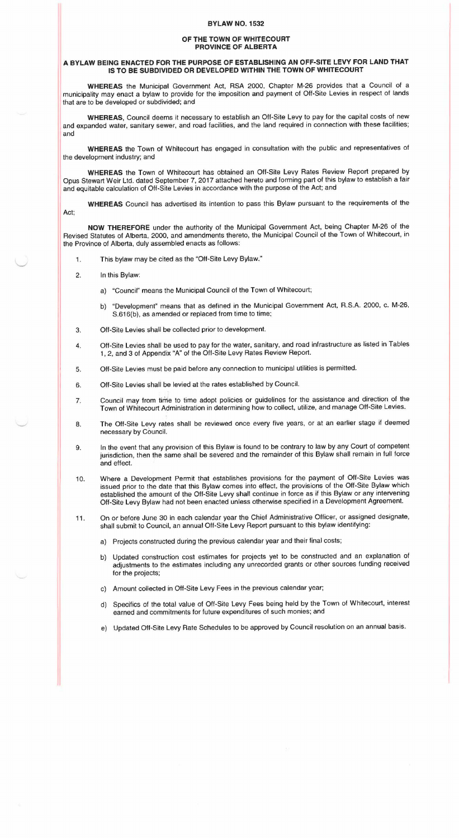## **BYLAW N0.1532**

## **OF THE TOWN OF WHITECOURT PROVINCE OF ALBERTA**

## **A BYLAW BEING ENACTED FOR THE PURPOSE OF ESTABLISHING AN OFF-SITE LEVY FOR LAND THAT IS TO BE SUBDIVIDED OR DEVELOPED WITHIN THE TOWN OF WHITECOURT**

**WHEREAS** the Municipal Government Act, RSA 2000, Chapter M-26 provides that a Council of a municipality may enact a bylaw to provide for the imposition and payment of Off-Site Levies in respect of lands that are to be developed or subdivided; and

**WHEREAS,** Council deems it necessary to establish an Off-Site Levy to pay for the capital costs of new and expanded water, sanitary sewer, and road facilities, and the land required in connection with these facilities; and

**WHEREAS** the Town of Whitecourt has engaged in consultation with the public and representatives of the development industry; and

**WHEREAS** the Town of Whitecourt has obtained an Off-Site Levy Rates Review Report prepared by Opus Stewart Weir Ltd. dated September 7, 2017 attached hereto and forming part of this bylaw to establish a fair and equitable calculation of Off-Site Levies in accordance with the purpose of the Act; and

**WHEREAS** Council has advertised its intention to pass this Bylaw pursuant to the requirements of the

Act;

**NOW THEREFORE** under the authority of the Municipal Government Act, being Chapter M-26 of the Revised Statutes of Alberta, 2000, and amendments thereto, the Municipal Council of the Town of Whitecourt, in the Province of Alberta, duly assembled enacts as follows:

- 1. This bylaw may be cited as the "Off-Site Levy Bylaw."
- 2. In this Bylaw:
	- a) "Council" means the Municipal Council of the Town of Whitecourt;
	- b) "Development" means that as defined in the Municipal Government Act, R.S.A. 2000, c. M-26, S.616(b}, as amended or replaced from time to time;
- 3. Off-Site Levies shall be collected prior to development.
- 4. Off-Site Levies shall be used to pay for the water, sanitary, and road infrastructure as listed in Tables 1 , 2, and 3 of Appendix "A" of the Off-Site Levy Rates Review Report.
- 5. Off-Site Levies must be paid before any connection to municipal utitities is permitted.
- 6. Off-Site Levies shall be levied at the rates established by Council.
- 7. Council may from time to time adopt policies or guidelines for the assistance and direction of the Town of Whitecourt Administration in determining how to collect, utilize, and manage Off-Site Levies.
- 8. The Off-Site Levy rates shall be reviewed once every five years, or at an earlier stage if deemed necessary by Council.
- 9. In the event that any provision of this Bylaw is found to be contrary to law by any Court of competent jurisdiction, then the same shall be severed and the remainder of this Bylaw shall remain in full force and effect.
- 10. Where a Development Permit that establishes provisions for the payment of Off-Site Levies was issued prior to the date that this Bylaw comes into effect, the provisions of the Off-Site Bylaw which established the amount of the Off-Site Levy shall continue in force as if this Bylaw or any intervening Off-Site Levy Bylaw had not been enacted unless otherwise specified in a Development Agreement.
- 11. On or before June 30 in each calendar year the Chief Administrative Officer, or assigned designate, shall submit to Council, an annual Off-Site Levy Report pursuant to this bylaw identifying:
	- a} Projects constructed during the previous calendar year and their final costs;
	- b} Updated construction cost estimates for projects yet to be constructed and an explanation of adjustments to the estimates including any unrecorded grants or other sources funding received for the projects;
	- c} Amount collected in Off-Site Levy Fees in the previous calendar year;
	- d} Specifics of the total value of Off-Site Levy Fees being held by the Town of Whitecourt, interest earned and commitments for future expenditures of such monies; and
	- e} Updated Oft-Site Levy Rate Schedules to be approved by Council resolution on an annual basis.